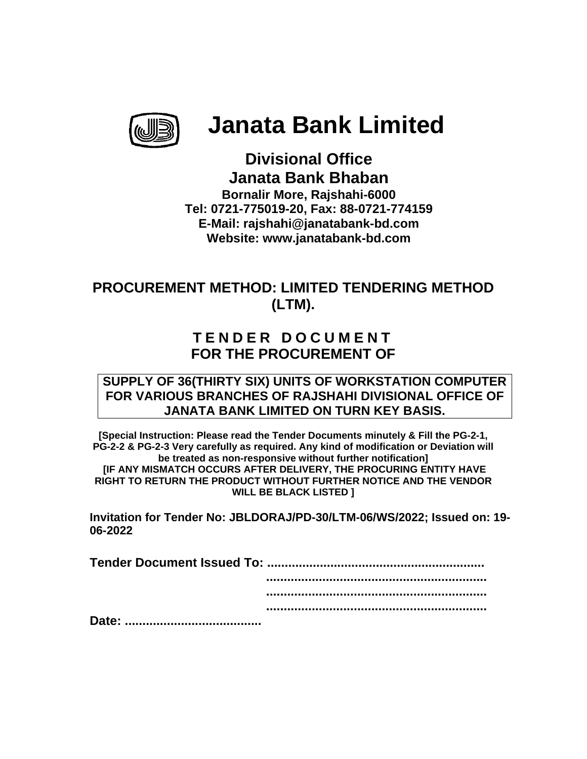

# **Janata Bank Limited**

**J Janata Bank B Bhaban Janata Bank Bhaban**<br>Bornalir More, Rajshahi-6000 **Tel: 072 21-775019 9-20, Fax: : 88-0721 -774159 E-Mai il: rajshah hi@janata abank-bd d.com Web bsite: www w.janatab bank-bd.c com Divis sional O Office** 

# **PROCUREMENT METHOD: LIMITED TENDERING M (L LTM). d**<br>,<br>METHOD **D**

## **TEN DER D D OCU MEN T FOR THE PROCUREMENT OF**

#### SUPPLY OF 36(THIRTY SIX) UNITS OF WORKSTATION COMPUTER **FOR VARIOUS BRANCHES OF RAJSHAHI DIVISIONAL OFFICE OF JANATA BANK LIMITED ON TURN KEY BASIS.**

[Special Instruction: Please read the Tender Documents minutely & Fill the PG-2-1, PG-2-2 & PG-2-3 Very carefully as required. Any kind of modification or Deviation will **IF ANY MISMATCH OCCURS AFTER DELIVERY, THE PROCURING ENTITY HAVE RIGHT TO RETUR N THE PRO ODUCT WITH HOUT FURT THER NOTI CE AND TH HE VENDOR** RIGHT TO RETURN THE PRODUCT WITHOUT FURTHER NOTICE AND THE VENDOR<br>WILL BE BLACK LISTED ]<br>Invitation for Tender No: JBLDORAJ/PD-30/LTM-06/WS/2022; Issued on: 19**be treated as non-responsive without further notification]** WILL BE BLACK LISTED **]** 

**06-2022**

| 06-2022 |  |
|---------|--|
|         |  |
|         |  |
|         |  |
|         |  |
|         |  |
|         |  |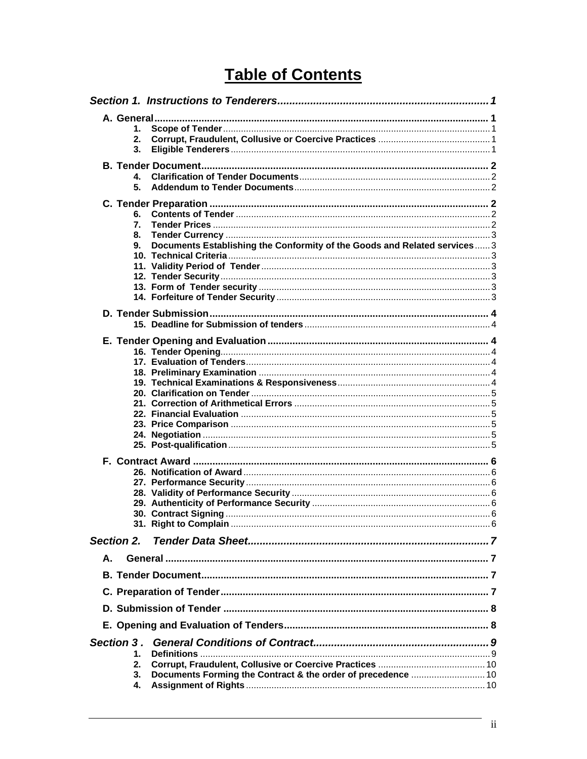# **Table of Contents**

|    | 1.            |                                                                           |  |
|----|---------------|---------------------------------------------------------------------------|--|
|    | $2_{-}$<br>3. |                                                                           |  |
|    |               |                                                                           |  |
|    |               |                                                                           |  |
|    | 4.            |                                                                           |  |
|    | 5.            |                                                                           |  |
|    |               |                                                                           |  |
|    | 6.            |                                                                           |  |
|    | 7.            |                                                                           |  |
|    | 8.            |                                                                           |  |
|    | 9.            | Documents Establishing the Conformity of the Goods and Related services 3 |  |
|    |               |                                                                           |  |
|    |               |                                                                           |  |
|    |               |                                                                           |  |
|    |               |                                                                           |  |
|    |               |                                                                           |  |
|    |               |                                                                           |  |
|    |               |                                                                           |  |
|    |               |                                                                           |  |
|    |               |                                                                           |  |
|    |               |                                                                           |  |
|    |               |                                                                           |  |
|    |               |                                                                           |  |
|    |               |                                                                           |  |
|    |               |                                                                           |  |
|    |               |                                                                           |  |
|    |               |                                                                           |  |
|    |               |                                                                           |  |
|    |               |                                                                           |  |
|    |               |                                                                           |  |
|    |               |                                                                           |  |
|    |               |                                                                           |  |
|    |               |                                                                           |  |
|    |               |                                                                           |  |
|    |               |                                                                           |  |
|    |               |                                                                           |  |
|    |               |                                                                           |  |
|    |               |                                                                           |  |
|    | Section 2.    |                                                                           |  |
| А. |               |                                                                           |  |
|    |               |                                                                           |  |
|    |               |                                                                           |  |
|    |               |                                                                           |  |
|    |               |                                                                           |  |
|    |               |                                                                           |  |
|    | 1.            |                                                                           |  |
|    | 2.            |                                                                           |  |
|    | 3.            | Documents Forming the Contract & the order of precedence  10              |  |
|    | 4.            |                                                                           |  |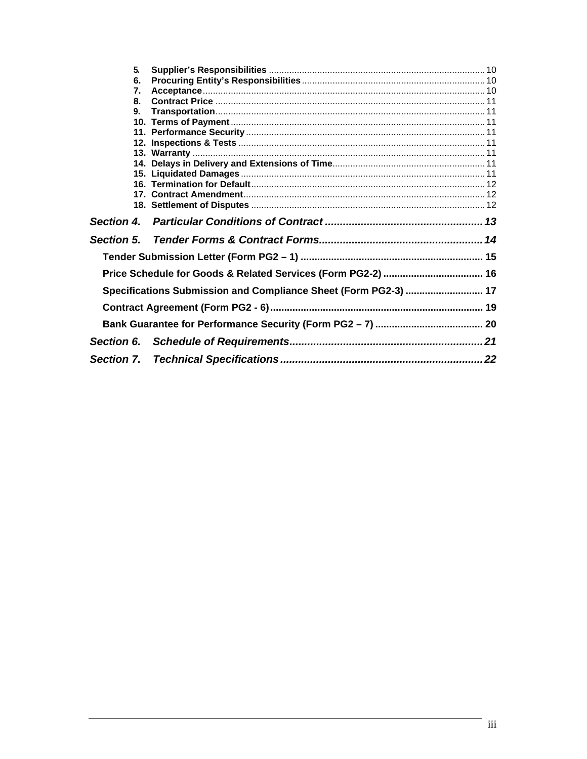| 5.                |                                                                 |  |
|-------------------|-----------------------------------------------------------------|--|
| 6.                |                                                                 |  |
| 7.                |                                                                 |  |
| 8.                |                                                                 |  |
| 9.                |                                                                 |  |
|                   |                                                                 |  |
|                   |                                                                 |  |
|                   |                                                                 |  |
|                   |                                                                 |  |
|                   |                                                                 |  |
|                   |                                                                 |  |
|                   |                                                                 |  |
|                   |                                                                 |  |
|                   |                                                                 |  |
|                   |                                                                 |  |
| Section 4.        |                                                                 |  |
| <b>Section 5.</b> |                                                                 |  |
|                   |                                                                 |  |
|                   |                                                                 |  |
|                   | Specifications Submission and Compliance Sheet (Form PG2-3)  17 |  |
|                   |                                                                 |  |
|                   |                                                                 |  |
| Section 6.        |                                                                 |  |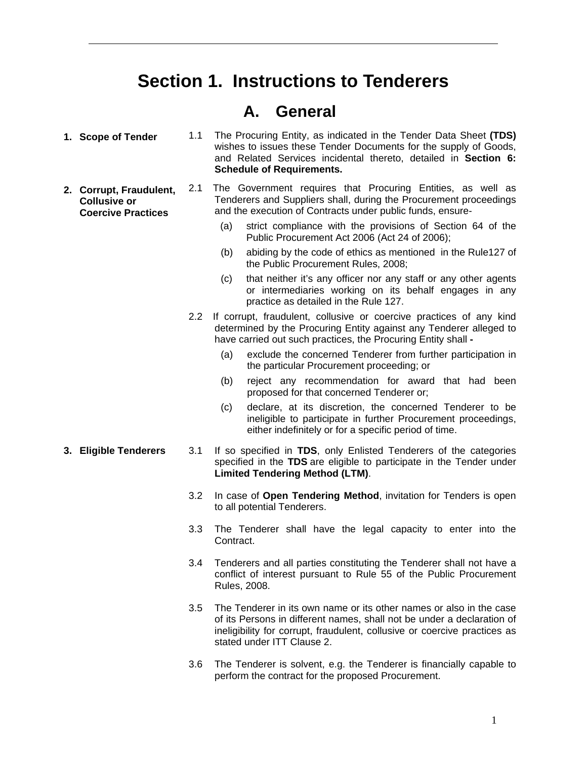# **Section 1. Instructions to Tenderers**

## **A. General**

- **1. Scope of Tender** 1.1 The Procuring Entity, as indicated in the Tender Data Sheet **(TDS)** wishes to issues these Tender Documents for the supply of Goods, and Related Services incidental thereto, detailed in **Section 6: Schedule of Requirements.**
- **2. Corrupt, Fraudulent, Collusive or Coercive Practices**  2.1 The Government requires that Procuring Entities, as well as Tenderers and Suppliers shall, during the Procurement proceedings and the execution of Contracts under public funds, ensure-
	- (a) strict compliance with the provisions of Section 64 of the Public Procurement Act 2006 (Act 24 of 2006);
	- (b) abiding by the code of ethics as mentioned in the Rule127 of the Public Procurement Rules, 2008;
	- (c) that neither it's any officer nor any staff or any other agents or intermediaries working on its behalf engages in any practice as detailed in the Rule 127.
	- 2.2 If corrupt, fraudulent, collusive or coercive practices of any kind determined by the Procuring Entity against any Tenderer alleged to have carried out such practices, the Procuring Entity shall **-** 
		- (a) exclude the concerned Tenderer from further participation in the particular Procurement proceeding; or
		- (b) reject any recommendation for award that had been proposed for that concerned Tenderer or;
		- (c) declare, at its discretion, the concerned Tenderer to be ineligible to participate in further Procurement proceedings, either indefinitely or for a specific period of time.
- **3. Eligible Tenderers** 3.1 If so specified in **TDS**, only Enlisted Tenderers of the categories specified in the **TDS** are eligible to participate in the Tender under **Limited Tendering Method (LTM)**.
	- 3.2 In case of **Open Tendering Method**, invitation for Tenders is open to all potential Tenderers.
	- 3.3 The Tenderer shall have the legal capacity to enter into the Contract.
	- 3.4 Tenderers and all parties constituting the Tenderer shall not have a conflict of interest pursuant to Rule 55 of the Public Procurement Rules, 2008.
	- 3.5 The Tenderer in its own name or its other names or also in the case of its Persons in different names, shall not be under a declaration of ineligibility for corrupt, fraudulent, collusive or coercive practices as stated under ITT Clause 2.
	- 3.6 The Tenderer is solvent, e.g. the Tenderer is financially capable to perform the contract for the proposed Procurement.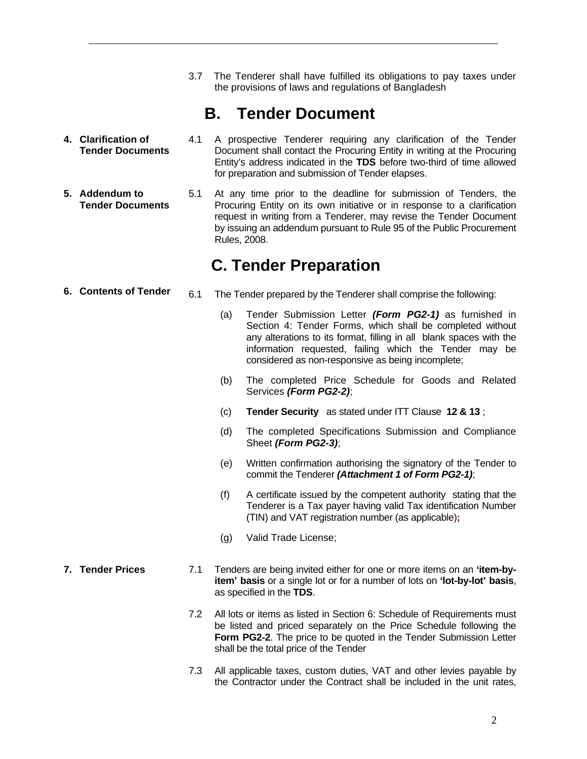3.7 The Tenderer shall have fulfilled its obligations to pay taxes under the provisions of laws and regulations of Bangladesh

# **B. Tender Document**

- **4. Clarification of Tender Documents**  4.1 A prospective Tenderer requiring any clarification of the Tender Document shall contact the Procuring Entity in writing at the Procuring Entity's address indicated in the **TDS** before two-third of time allowed for preparation and submission of Tender elapses.
- **5. Addendum to Tender Documents** 5.1 At any time prior to the deadline for submission of Tenders, the Procuring Entity on its own initiative or in response to a clarification request in writing from a Tenderer, may revise the Tender Document by issuing an addendum pursuant to Rule 95 of the Public Procurement Rules, 2008.

## **C. Tender Preparation**

- **6. Contents of Tender** 6.1 The Tender prepared by the Tenderer shall comprise the following:
	- (a) Tender Submission Letter *(Form PG2-1)* as furnished in Section 4: Tender Forms, which shall be completed without any alterations to its format, filling in all blank spaces with the information requested, failing which the Tender may be considered as non-responsive as being incomplete;
	- (b) The completed Price Schedule for Goods and Related Services *(Form PG2-2)*;
	- (c) **Tender Security** as stated under ITT Clause **12 & 13** ;
	- (d) The completed Specifications Submission and Compliance Sheet *(Form PG2-3)*;
	- (e) Written confirmation authorising the signatory of the Tender to commit the Tenderer *(Attachment 1 of Form PG2-1)*;
	- (f) A certificate issued by the competent authority stating that the Tenderer is a Tax payer having valid Tax identification Number (TIN) and VAT registration number (as applicable)**;**
	- (g) Valid Trade License;
- **7. Tender Prices** 7.1 Tenders are being invited either for one or more items on an **'item-byitem' basis** or a single lot or for a number of lots on **'lot-by-lot' basis**, as specified in the **TDS**.
	- 7.2 All lots or items as listed in Section 6: Schedule of Requirements must be listed and priced separately on the Price Schedule following the **Form PG2-2**. The price to be quoted in the Tender Submission Letter shall be the total price of the Tender
	- 7.3 All applicable taxes, custom duties, VAT and other levies payable by the Contractor under the Contract shall be included in the unit rates,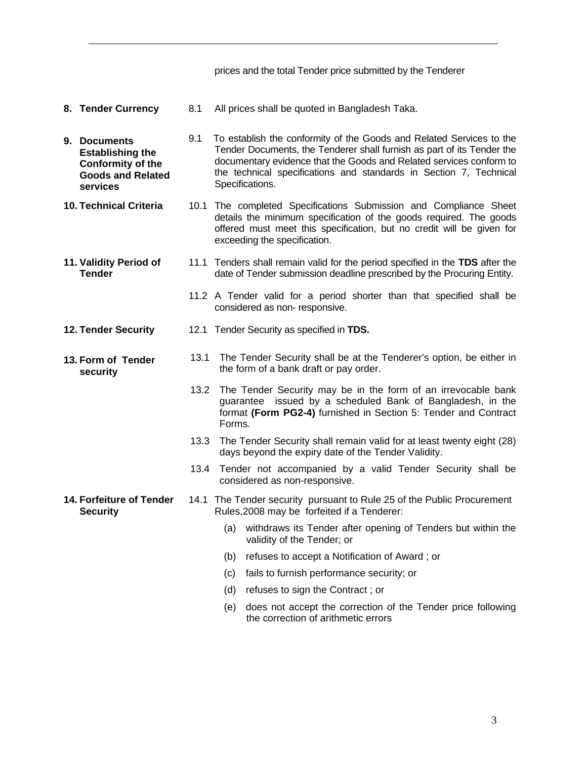prices and the total Tender price submitted by the Tenderer

- **8. Tender Currency** 8.1 All prices shall be quoted in Bangladesh Taka.
- **9. Documents Establishing the Conformity of the Goods and Related services** 9.1 To establish the conformity of the Goods and Related Services to the Tender Documents, the Tenderer shall furnish as part of its Tender the documentary evidence that the Goods and Related services conform to the technical specifications and standards in Section 7, Technical Specifications.
- **10. Technical Criteria** 10.1 The completed Specifications Submission and Compliance Sheet details the minimum specification of the goods required. The goods offered must meet this specification, but no credit will be given for exceeding the specification.
- **11. Validity Period of Tender** 11.1 Tenders shall remain valid for the period specified in the **TDS** after the date of Tender submission deadline prescribed by the Procuring Entity.
	- 11.2 A Tender valid for a period shorter than that specified shall be considered as non- responsive.
- **12. Tender Security** 12.1 Tender Security as specified in **TDS.**
- **13. Form of Tender security** 13.1 The Tender Security shall be at the Tenderer's option, be either in the form of a bank draft or pay order.
	- 13.2 The Tender Security may be in the form of an irrevocable bank guarantee issued by a scheduled Bank of Bangladesh, in the format **(Form PG2-4)** furnished in Section 5: Tender and Contract Forms.
	- 13.3 The Tender Security shall remain valid for at least twenty eight (28) days beyond the expiry date of the Tender Validity.
	- 13.4 Tender not accompanied by a valid Tender Security shall be considered as non-responsive.
- **14. Forfeiture of Tender Security** 14.1 The Tender security pursuant to Rule 25 of the Public Procurement Rules,2008 may be forfeited if a Tenderer:
	- (a) withdraws its Tender after opening of Tenders but within the validity of the Tender; or
	- (b) refuses to accept a Notification of Award ; or
	- (c) fails to furnish performance security; or
	- (d) refuses to sign the Contract ; or
	- (e) does not accept the correction of the Tender price following the correction of arithmetic errors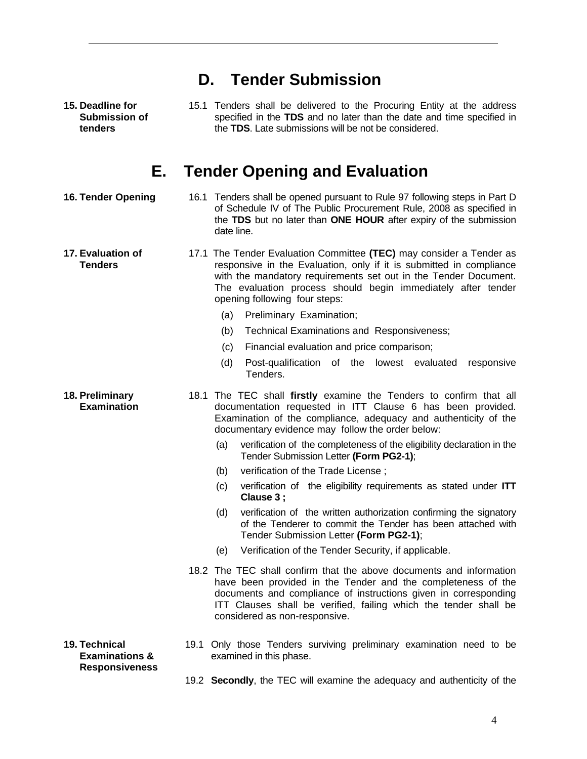| <b>D.</b> Tender Submission                                         |                                                                                                                                                                                                                                                                                                                |  |
|---------------------------------------------------------------------|----------------------------------------------------------------------------------------------------------------------------------------------------------------------------------------------------------------------------------------------------------------------------------------------------------------|--|
| 15. Deadline for<br><b>Submission of</b><br>tenders                 | 15.1 Tenders shall be delivered to the Procuring Entity at the address<br>specified in the TDS and no later than the date and time specified in<br>the TDS. Late submissions will be not be considered.                                                                                                        |  |
|                                                                     | <b>E.</b> Tender Opening and Evaluation                                                                                                                                                                                                                                                                        |  |
| <b>16. Tender Opening</b>                                           | 16.1 Tenders shall be opened pursuant to Rule 97 following steps in Part D<br>of Schedule IV of The Public Procurement Rule, 2008 as specified in<br>the TDS but no later than ONE HOUR after expiry of the submission<br>date line.                                                                           |  |
| 17. Evaluation of<br><b>Tenders</b>                                 | 17.1 The Tender Evaluation Committee (TEC) may consider a Tender as<br>responsive in the Evaluation, only if it is submitted in compliance<br>with the mandatory requirements set out in the Tender Document.<br>The evaluation process should begin immediately after tender<br>opening following four steps: |  |
|                                                                     | (a)<br>Preliminary Examination;                                                                                                                                                                                                                                                                                |  |
|                                                                     | (b)<br>Technical Examinations and Responsiveness;                                                                                                                                                                                                                                                              |  |
|                                                                     | Financial evaluation and price comparison;<br>(c)                                                                                                                                                                                                                                                              |  |
|                                                                     | Post-qualification of the lowest evaluated<br>(d)<br>responsive<br>Tenders.                                                                                                                                                                                                                                    |  |
| 18. Preliminary<br><b>Examination</b>                               | 18.1 The TEC shall firstly examine the Tenders to confirm that all<br>documentation requested in ITT Clause 6 has been provided.<br>Examination of the compliance, adequacy and authenticity of the<br>documentary evidence may follow the order below:                                                        |  |
|                                                                     | verification of the completeness of the eligibility declaration in the<br>(a)<br>Tender Submission Letter (Form PG2-1);                                                                                                                                                                                        |  |
|                                                                     | verification of the Trade License;<br>(b)                                                                                                                                                                                                                                                                      |  |
|                                                                     | verification of the eligibility requirements as stated under ITT<br>(c)<br>Clause 3;                                                                                                                                                                                                                           |  |
|                                                                     | (d)<br>verification of the written authorization confirming the signatory<br>of the Tenderer to commit the Tender has been attached with<br>Tender Submission Letter (Form PG2-1);                                                                                                                             |  |
|                                                                     | Verification of the Tender Security, if applicable.<br>(e)                                                                                                                                                                                                                                                     |  |
|                                                                     | 18.2 The TEC shall confirm that the above documents and information<br>have been provided in the Tender and the completeness of the<br>documents and compliance of instructions given in corresponding<br>ITT Clauses shall be verified, failing which the tender shall be<br>considered as non-responsive.    |  |
| 19. Technical<br><b>Examinations &amp;</b><br><b>Responsiveness</b> | 19.1 Only those Tenders surviving preliminary examination need to be<br>examined in this phase.                                                                                                                                                                                                                |  |
|                                                                     | 19.2 Secondly, the TEC will examine the adequacy and authenticity of the                                                                                                                                                                                                                                       |  |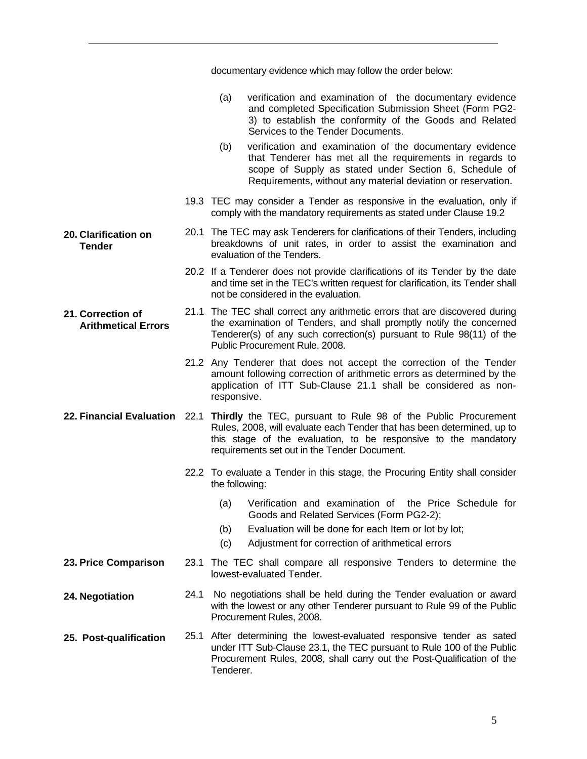|                                                 |      | documentary evidence which may follow the order below:                                                                                                                                                                                                                                    |
|-------------------------------------------------|------|-------------------------------------------------------------------------------------------------------------------------------------------------------------------------------------------------------------------------------------------------------------------------------------------|
|                                                 |      | verification and examination of the documentary evidence<br>(a)<br>and completed Specification Submission Sheet (Form PG2-<br>3) to establish the conformity of the Goods and Related<br>Services to the Tender Documents.                                                                |
|                                                 |      | verification and examination of the documentary evidence<br>(b)<br>that Tenderer has met all the requirements in regards to<br>scope of Supply as stated under Section 6, Schedule of<br>Requirements, without any material deviation or reservation.                                     |
|                                                 |      | 19.3 TEC may consider a Tender as responsive in the evaluation, only if<br>comply with the mandatory requirements as stated under Clause 19.2                                                                                                                                             |
| 20. Clarification on<br><b>Tender</b>           |      | 20.1 The TEC may ask Tenderers for clarifications of their Tenders, including<br>breakdowns of unit rates, in order to assist the examination and<br>evaluation of the Tenders.                                                                                                           |
|                                                 |      | 20.2 If a Tenderer does not provide clarifications of its Tender by the date<br>and time set in the TEC's written request for clarification, its Tender shall<br>not be considered in the evaluation.                                                                                     |
| 21. Correction of<br><b>Arithmetical Errors</b> |      | 21.1 The TEC shall correct any arithmetic errors that are discovered during<br>the examination of Tenders, and shall promptly notify the concerned<br>Tenderer(s) of any such correction(s) pursuant to Rule 98(11) of the<br>Public Procurement Rule, 2008.                              |
|                                                 |      | 21.2 Any Tenderer that does not accept the correction of the Tender<br>amount following correction of arithmetic errors as determined by the<br>application of ITT Sub-Clause 21.1 shall be considered as non-<br>responsive.                                                             |
|                                                 |      | 22. Financial Evaluation 22.1 Thirdly the TEC, pursuant to Rule 98 of the Public Procurement<br>Rules, 2008, will evaluate each Tender that has been determined, up to<br>this stage of the evaluation, to be responsive to the mandatory<br>requirements set out in the Tender Document. |
|                                                 |      | 22.2 To evaluate a Tender in this stage, the Procuring Entity shall consider<br>the following:                                                                                                                                                                                            |
|                                                 |      | Verification and examination of<br>the Price Schedule for<br>(a)<br>Goods and Related Services (Form PG2-2);<br>Evaluation will be done for each Item or lot by lot;<br>(b)<br>Adjustment for correction of arithmetical errors<br>(c)                                                    |
| 23. Price Comparison                            | 23.1 | The TEC shall compare all responsive Tenders to determine the<br>lowest-evaluated Tender.                                                                                                                                                                                                 |
| 24. Negotiation                                 | 24.1 | No negotiations shall be held during the Tender evaluation or award<br>with the lowest or any other Tenderer pursuant to Rule 99 of the Public<br>Procurement Rules, 2008.                                                                                                                |
| 25. Post-qualification                          | 25.1 | After determining the lowest-evaluated responsive tender as sated<br>under ITT Sub-Clause 23.1, the TEC pursuant to Rule 100 of the Public<br>Procurement Rules, 2008, shall carry out the Post-Qualification of the<br>Tenderer.                                                         |

5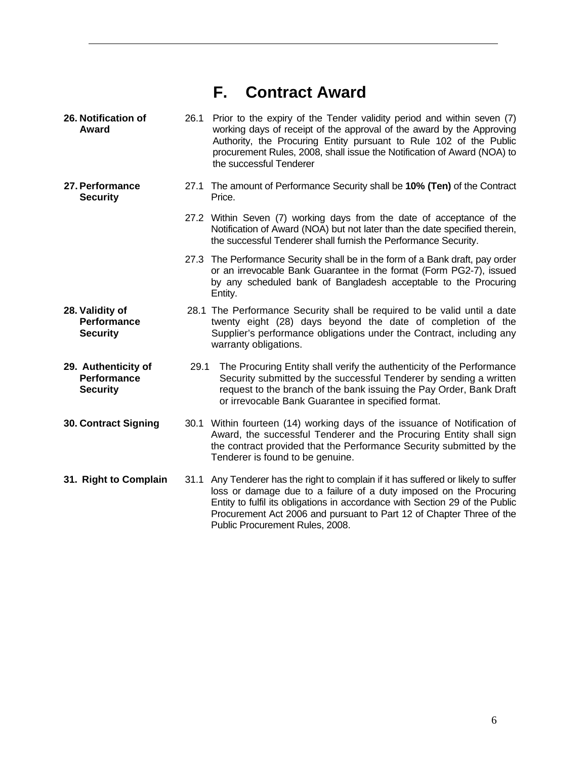# **F. Contract Award**

| 26. Notification of<br>Award                                 | 26.1 | Prior to the expiry of the Tender validity period and within seven (7)<br>working days of receipt of the approval of the award by the Approving<br>Authority, the Procuring Entity pursuant to Rule 102 of the Public<br>procurement Rules, 2008, shall issue the Notification of Award (NOA) to<br>the successful Tenderer                    |
|--------------------------------------------------------------|------|------------------------------------------------------------------------------------------------------------------------------------------------------------------------------------------------------------------------------------------------------------------------------------------------------------------------------------------------|
| 27. Performance<br><b>Security</b>                           | 27.1 | The amount of Performance Security shall be 10% (Ten) of the Contract<br>Price.                                                                                                                                                                                                                                                                |
|                                                              |      | 27.2 Within Seven (7) working days from the date of acceptance of the<br>Notification of Award (NOA) but not later than the date specified therein,<br>the successful Tenderer shall furnish the Performance Security.                                                                                                                         |
|                                                              |      | 27.3 The Performance Security shall be in the form of a Bank draft, pay order<br>or an irrevocable Bank Guarantee in the format (Form PG2-7), issued<br>by any scheduled bank of Bangladesh acceptable to the Procuring<br>Entity.                                                                                                             |
| 28. Validity of<br><b>Performance</b><br><b>Security</b>     |      | 28.1 The Performance Security shall be required to be valid until a date<br>twenty eight (28) days beyond the date of completion of the<br>Supplier's performance obligations under the Contract, including any<br>warranty obligations.                                                                                                       |
| 29. Authenticity of<br><b>Performance</b><br><b>Security</b> | 29.1 | The Procuring Entity shall verify the authenticity of the Performance<br>Security submitted by the successful Tenderer by sending a written<br>request to the branch of the bank issuing the Pay Order, Bank Draft<br>or irrevocable Bank Guarantee in specified format.                                                                       |
| <b>30. Contract Signing</b>                                  |      | 30.1 Within fourteen (14) working days of the issuance of Notification of<br>Award, the successful Tenderer and the Procuring Entity shall sign<br>the contract provided that the Performance Security submitted by the<br>Tenderer is found to be genuine.                                                                                    |
| 31. Right to Complain                                        | 31.1 | Any Tenderer has the right to complain if it has suffered or likely to suffer<br>loss or damage due to a failure of a duty imposed on the Procuring<br>Entity to fulfil its obligations in accordance with Section 29 of the Public<br>Procurement Act 2006 and pursuant to Part 12 of Chapter Three of the<br>Public Procurement Rules, 2008. |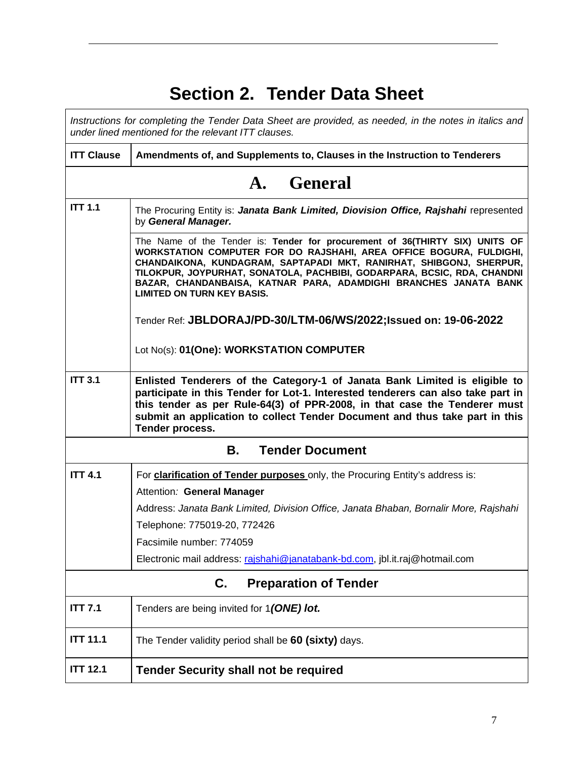# **Section 2. Tender Data Sheet**

 $\mathbf{r}$ 

| Instructions for completing the Tender Data Sheet are provided, as needed, in the notes in italics and<br>under lined mentioned for the relevant ITT clauses. |                                                                                                                                                                                                                                                                                                                                                                                                                |  |  |  |
|---------------------------------------------------------------------------------------------------------------------------------------------------------------|----------------------------------------------------------------------------------------------------------------------------------------------------------------------------------------------------------------------------------------------------------------------------------------------------------------------------------------------------------------------------------------------------------------|--|--|--|
| <b>ITT Clause</b>                                                                                                                                             | Amendments of, and Supplements to, Clauses in the Instruction to Tenderers                                                                                                                                                                                                                                                                                                                                     |  |  |  |
|                                                                                                                                                               | A. General                                                                                                                                                                                                                                                                                                                                                                                                     |  |  |  |
| <b>ITT 1.1</b>                                                                                                                                                | The Procuring Entity is: Janata Bank Limited, Diovision Office, Rajshahi represented<br>by General Manager.                                                                                                                                                                                                                                                                                                    |  |  |  |
|                                                                                                                                                               | The Name of the Tender is: Tender for procurement of 36(THIRTY SIX) UNITS OF<br>WORKSTATION COMPUTER FOR DO RAJSHAHI, AREA OFFICE BOGURA, FULDIGHI,<br>CHANDAIKONA, KUNDAGRAM, SAPTAPADI MKT, RANIRHAT, SHIBGONJ, SHERPUR,<br>TILOKPUR, JOYPURHAT, SONATOLA, PACHBIBI, GODARPARA, BCSIC, RDA, CHANDNI<br>BAZAR, CHANDANBAISA, KATNAR PARA, ADAMDIGHI BRANCHES JANATA BANK<br><b>LIMITED ON TURN KEY BASIS.</b> |  |  |  |
|                                                                                                                                                               | Tender Ref: JBLDORAJ/PD-30/LTM-06/WS/2022;Issued on: 19-06-2022                                                                                                                                                                                                                                                                                                                                                |  |  |  |
|                                                                                                                                                               | Lot No(s): 01(One): WORKSTATION COMPUTER                                                                                                                                                                                                                                                                                                                                                                       |  |  |  |
| <b>ITT 3.1</b>                                                                                                                                                | Enlisted Tenderers of the Category-1 of Janata Bank Limited is eligible to<br>participate in this Tender for Lot-1. Interested tenderers can also take part in<br>this tender as per Rule-64(3) of PPR-2008, in that case the Tenderer must<br>submit an application to collect Tender Document and thus take part in this<br>Tender process.                                                                  |  |  |  |
| <b>Tender Document</b><br>В.                                                                                                                                  |                                                                                                                                                                                                                                                                                                                                                                                                                |  |  |  |
| <b>ITT 4.1</b>                                                                                                                                                | For clarification of Tender purposes only, the Procuring Entity's address is:                                                                                                                                                                                                                                                                                                                                  |  |  |  |
|                                                                                                                                                               | Attention: General Manager                                                                                                                                                                                                                                                                                                                                                                                     |  |  |  |
|                                                                                                                                                               | Address: Janata Bank Limited, Division Office, Janata Bhaban, Bornalir More, Rajshahi                                                                                                                                                                                                                                                                                                                          |  |  |  |
|                                                                                                                                                               | Telephone: 775019-20, 772426                                                                                                                                                                                                                                                                                                                                                                                   |  |  |  |
|                                                                                                                                                               | Facsimile number: 774059                                                                                                                                                                                                                                                                                                                                                                                       |  |  |  |
|                                                                                                                                                               | Electronic mail address: rajshahi@janatabank-bd.com, jbl.it.raj@hotmail.com                                                                                                                                                                                                                                                                                                                                    |  |  |  |
| <b>Preparation of Tender</b><br>C.                                                                                                                            |                                                                                                                                                                                                                                                                                                                                                                                                                |  |  |  |
| <b>ITT 7.1</b>                                                                                                                                                | Tenders are being invited for 1(ONE) lot.                                                                                                                                                                                                                                                                                                                                                                      |  |  |  |
| <b>ITT 11.1</b>                                                                                                                                               | The Tender validity period shall be 60 (sixty) days.                                                                                                                                                                                                                                                                                                                                                           |  |  |  |
| <b>ITT 12.1</b>                                                                                                                                               | <b>Tender Security shall not be required</b>                                                                                                                                                                                                                                                                                                                                                                   |  |  |  |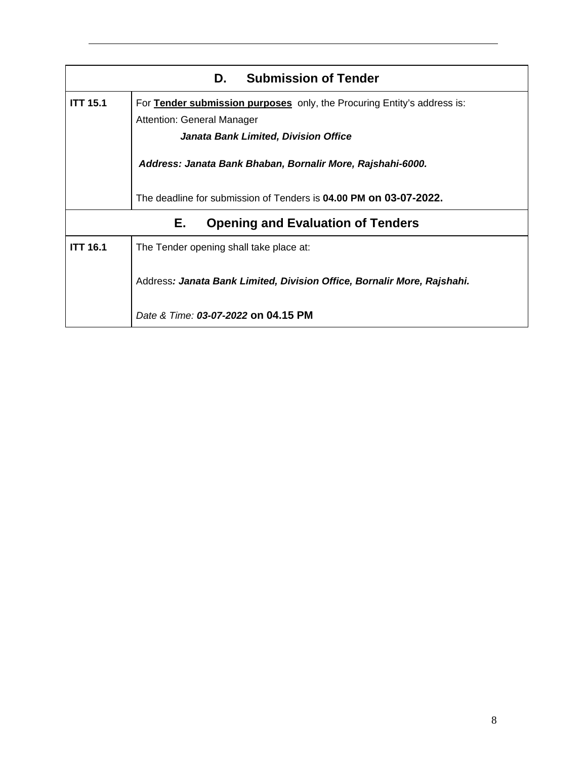|                 | <b>Submission of Tender</b><br>D.                                       |
|-----------------|-------------------------------------------------------------------------|
| <b>ITT 15.1</b> | For Tender submission purposes only, the Procuring Entity's address is: |
|                 | Attention: General Manager                                              |
|                 | Janata Bank Limited, Division Office                                    |
|                 | Address: Janata Bank Bhaban, Bornalir More, Rajshahi-6000.              |
|                 | The deadline for submission of Tenders is 04.00 PM on 03-07-2022.       |
|                 | Е.<br><b>Opening and Evaluation of Tenders</b>                          |
| <b>ITT 16.1</b> | The Tender opening shall take place at:                                 |
|                 | Address: Janata Bank Limited, Division Office, Bornalir More, Rajshahi. |
|                 | Date & Time: 03-07-2022 on 04.15 PM                                     |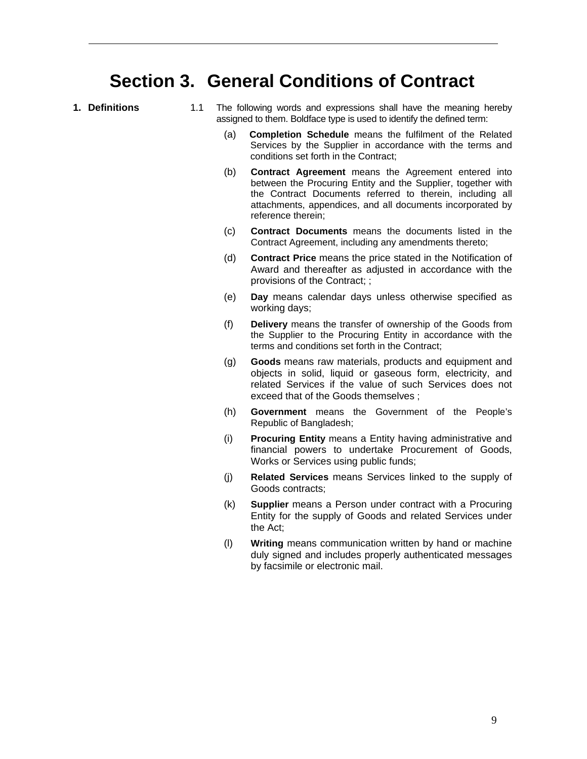# **Section 3. General Conditions of Contract**

- 
- **1. Definitions** 1.1 The following words and expressions shall have the meaning hereby assigned to them. Boldface type is used to identify the defined term:
	- (a) **Completion Schedule** means the fulfilment of the Related Services by the Supplier in accordance with the terms and conditions set forth in the Contract;
	- (b) **Contract Agreement** means the Agreement entered into between the Procuring Entity and the Supplier, together with the Contract Documents referred to therein, including all attachments, appendices, and all documents incorporated by reference therein;
	- (c) **Contract Documents** means the documents listed in the Contract Agreement, including any amendments thereto;
	- (d) **Contract Price** means the price stated in the Notification of Award and thereafter as adjusted in accordance with the provisions of the Contract; ;
	- (e) **Day** means calendar days unless otherwise specified as working days;
	- (f) **Delivery** means the transfer of ownership of the Goods from the Supplier to the Procuring Entity in accordance with the terms and conditions set forth in the Contract;
	- (g) **Goods** means raw materials, products and equipment and objects in solid, liquid or gaseous form, electricity, and related Services if the value of such Services does not exceed that of the Goods themselves ;
	- (h) **Government** means the Government of the People's Republic of Bangladesh;
	- (i) **Procuring Entity** means a Entity having administrative and financial powers to undertake Procurement of Goods, Works or Services using public funds;
	- (j) **Related Services** means Services linked to the supply of Goods contracts;
	- (k) **Supplier** means a Person under contract with a Procuring Entity for the supply of Goods and related Services under the Act;
	- (l) **Writing** means communication written by hand or machine duly signed and includes properly authenticated messages by facsimile or electronic mail.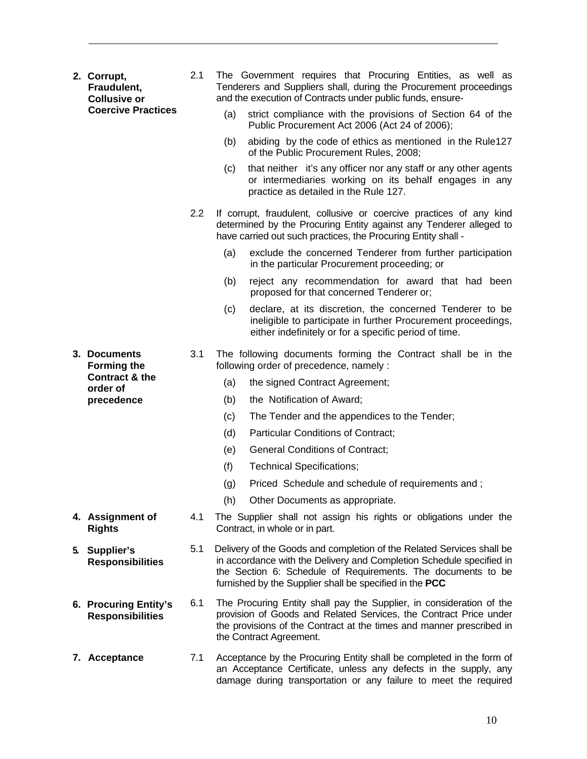|    | 2. Corrupt,<br>Fraudulent,<br><b>Collusive or</b> | 2.1 | The Government requires that Procuring Entities, as well as<br>Tenderers and Suppliers shall, during the Procurement proceedings<br>and the execution of Contracts under public funds, ensure-                                                                           |
|----|---------------------------------------------------|-----|--------------------------------------------------------------------------------------------------------------------------------------------------------------------------------------------------------------------------------------------------------------------------|
|    | <b>Coercive Practices</b>                         |     | strict compliance with the provisions of Section 64 of the<br>(a)<br>Public Procurement Act 2006 (Act 24 of 2006);                                                                                                                                                       |
|    |                                                   |     | abiding by the code of ethics as mentioned in the Rule127<br>(b)<br>of the Public Procurement Rules, 2008;                                                                                                                                                               |
|    |                                                   |     | that neither it's any officer nor any staff or any other agents<br>(c)<br>or intermediaries working on its behalf engages in any<br>practice as detailed in the Rule 127.                                                                                                |
|    |                                                   | 2.2 | If corrupt, fraudulent, collusive or coercive practices of any kind<br>determined by the Procuring Entity against any Tenderer alleged to<br>have carried out such practices, the Procuring Entity shall -                                                               |
|    |                                                   |     | (a)<br>exclude the concerned Tenderer from further participation<br>in the particular Procurement proceeding; or                                                                                                                                                         |
|    |                                                   |     | (b)<br>reject any recommendation for award that had been<br>proposed for that concerned Tenderer or;                                                                                                                                                                     |
|    |                                                   |     | declare, at its discretion, the concerned Tenderer to be<br>(c)<br>ineligible to participate in further Procurement proceedings,<br>either indefinitely or for a specific period of time.                                                                                |
|    | 3. Documents<br><b>Forming the</b>                | 3.1 | The following documents forming the Contract shall be in the<br>following order of precedence, namely :                                                                                                                                                                  |
|    | Contract & the<br>order of                        |     | (a)<br>the signed Contract Agreement;                                                                                                                                                                                                                                    |
|    | precedence                                        |     | the Notification of Award;<br>(b)                                                                                                                                                                                                                                        |
|    |                                                   |     | The Tender and the appendices to the Tender;<br>(c)                                                                                                                                                                                                                      |
|    |                                                   |     | (d)<br><b>Particular Conditions of Contract;</b>                                                                                                                                                                                                                         |
|    |                                                   |     | <b>General Conditions of Contract;</b><br>(e)                                                                                                                                                                                                                            |
|    |                                                   |     | (f)<br><b>Technical Specifications;</b>                                                                                                                                                                                                                                  |
|    |                                                   |     | Priced Schedule and schedule of requirements and;<br>(g)                                                                                                                                                                                                                 |
|    |                                                   |     | (h) Other Documents as appropriate.                                                                                                                                                                                                                                      |
|    | 4. Assignment of<br><b>Rights</b>                 | 4.1 | The Supplier shall not assign his rights or obligations under the<br>Contract, in whole or in part.                                                                                                                                                                      |
| 5. | Supplier's<br><b>Responsibilities</b>             | 5.1 | Delivery of the Goods and completion of the Related Services shall be<br>in accordance with the Delivery and Completion Schedule specified in<br>the Section 6: Schedule of Requirements. The documents to be<br>furnished by the Supplier shall be specified in the PCC |
|    | 6. Procuring Entity's<br><b>Responsibilities</b>  | 6.1 | The Procuring Entity shall pay the Supplier, in consideration of the<br>provision of Goods and Related Services, the Contract Price under<br>the provisions of the Contract at the times and manner prescribed in<br>the Contract Agreement.                             |
|    | 7. Acceptance                                     | 7.1 | Acceptance by the Procuring Entity shall be completed in the form of<br>an Acceptance Certificate, unless any defects in the supply, any<br>damage during transportation or any failure to meet the required                                                             |

10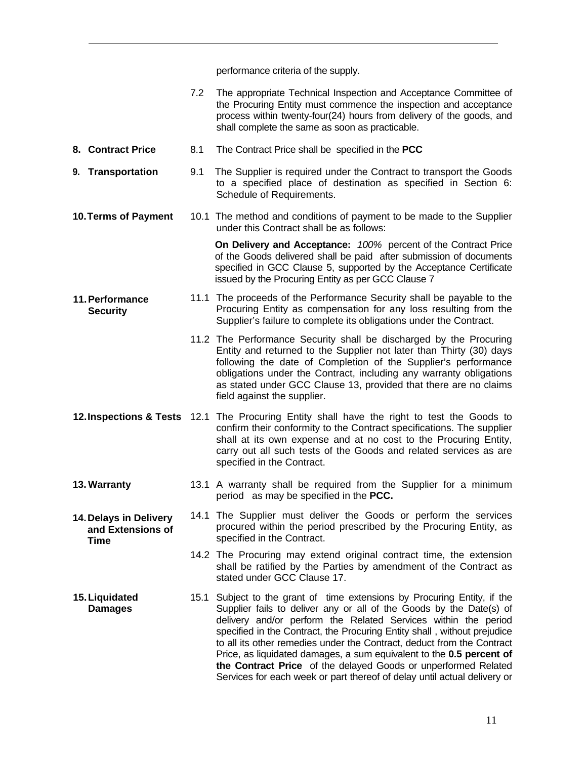performance criteria of the supply.

|                                                            | 7.2 | The appropriate Technical Inspection and Acceptance Committee of<br>the Procuring Entity must commence the inspection and acceptance<br>process within twenty-four(24) hours from delivery of the goods, and<br>shall complete the same as soon as practicable.                                                                                                                                                                                                                                                                                                                               |
|------------------------------------------------------------|-----|-----------------------------------------------------------------------------------------------------------------------------------------------------------------------------------------------------------------------------------------------------------------------------------------------------------------------------------------------------------------------------------------------------------------------------------------------------------------------------------------------------------------------------------------------------------------------------------------------|
| 8. Contract Price                                          | 8.1 | The Contract Price shall be specified in the PCC                                                                                                                                                                                                                                                                                                                                                                                                                                                                                                                                              |
| 9. Transportation                                          | 9.1 | The Supplier is required under the Contract to transport the Goods<br>to a specified place of destination as specified in Section 6:<br>Schedule of Requirements.                                                                                                                                                                                                                                                                                                                                                                                                                             |
| 10. Terms of Payment                                       |     | 10.1 The method and conditions of payment to be made to the Supplier<br>under this Contract shall be as follows:                                                                                                                                                                                                                                                                                                                                                                                                                                                                              |
|                                                            |     | On Delivery and Acceptance: 100% percent of the Contract Price<br>of the Goods delivered shall be paid after submission of documents<br>specified in GCC Clause 5, supported by the Acceptance Certificate<br>issued by the Procuring Entity as per GCC Clause 7                                                                                                                                                                                                                                                                                                                              |
| 11. Performance<br><b>Security</b>                         |     | 11.1 The proceeds of the Performance Security shall be payable to the<br>Procuring Entity as compensation for any loss resulting from the<br>Supplier's failure to complete its obligations under the Contract.                                                                                                                                                                                                                                                                                                                                                                               |
|                                                            |     | 11.2 The Performance Security shall be discharged by the Procuring<br>Entity and returned to the Supplier not later than Thirty (30) days<br>following the date of Completion of the Supplier's performance<br>obligations under the Contract, including any warranty obligations<br>as stated under GCC Clause 13, provided that there are no claims<br>field against the supplier.                                                                                                                                                                                                          |
|                                                            |     | 12. Inspections & Tests 12.1 The Procuring Entity shall have the right to test the Goods to<br>confirm their conformity to the Contract specifications. The supplier<br>shall at its own expense and at no cost to the Procuring Entity,<br>carry out all such tests of the Goods and related services as are<br>specified in the Contract.                                                                                                                                                                                                                                                   |
| 13. Warranty                                               |     | 13.1 A warranty shall be required from the Supplier for a minimum<br>period as may be specified in the PCC.                                                                                                                                                                                                                                                                                                                                                                                                                                                                                   |
| 14. Delays in Delivery<br>and Extensions of<br><b>Time</b> |     | 14.1 The Supplier must deliver the Goods or perform the services<br>procured within the period prescribed by the Procuring Entity, as<br>specified in the Contract.                                                                                                                                                                                                                                                                                                                                                                                                                           |
|                                                            |     | 14.2 The Procuring may extend original contract time, the extension<br>shall be ratified by the Parties by amendment of the Contract as<br>stated under GCC Clause 17.                                                                                                                                                                                                                                                                                                                                                                                                                        |
| 15. Liquidated<br><b>Damages</b>                           |     | 15.1 Subject to the grant of time extensions by Procuring Entity, if the<br>Supplier fails to deliver any or all of the Goods by the Date(s) of<br>delivery and/or perform the Related Services within the period<br>specified in the Contract, the Procuring Entity shall, without prejudice<br>to all its other remedies under the Contract, deduct from the Contract<br>Price, as liquidated damages, a sum equivalent to the 0.5 percent of<br>the Contract Price of the delayed Goods or unperformed Related<br>Services for each week or part thereof of delay until actual delivery or |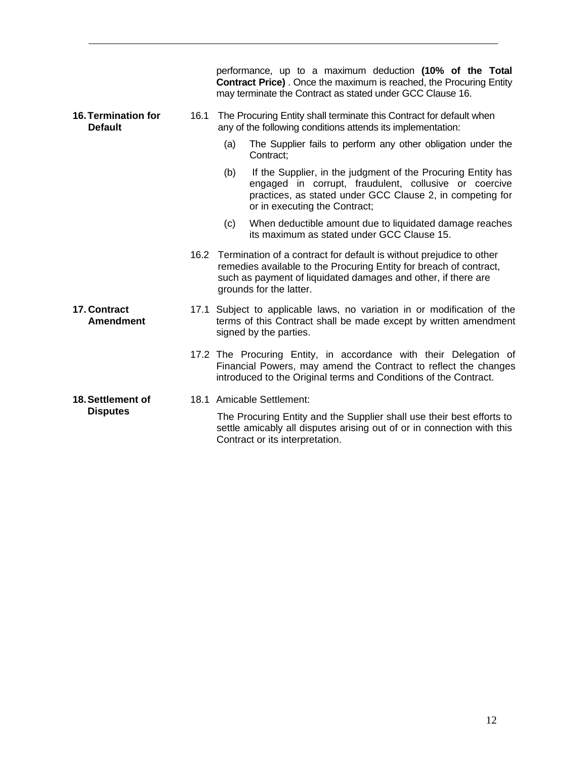|                                              |      | performance, up to a maximum deduction (10% of the Total<br><b>Contract Price)</b> . Once the maximum is reached, the Procuring Entity<br>may terminate the Contract as stated under GCC Clause 16.                                        |
|----------------------------------------------|------|--------------------------------------------------------------------------------------------------------------------------------------------------------------------------------------------------------------------------------------------|
| <b>16. Termination for</b><br><b>Default</b> | 16.1 | The Procuring Entity shall terminate this Contract for default when<br>any of the following conditions attends its implementation:                                                                                                         |
|                                              |      | The Supplier fails to perform any other obligation under the<br>(a)<br>Contract:                                                                                                                                                           |
|                                              |      | If the Supplier, in the judgment of the Procuring Entity has<br>(b)<br>engaged in corrupt, fraudulent, collusive or coercive<br>practices, as stated under GCC Clause 2, in competing for<br>or in executing the Contract;                 |
|                                              |      | When deductible amount due to liquidated damage reaches<br>(c)<br>its maximum as stated under GCC Clause 15.                                                                                                                               |
|                                              |      | 16.2 Termination of a contract for default is without prejudice to other<br>remedies available to the Procuring Entity for breach of contract,<br>such as payment of liquidated damages and other, if there are<br>grounds for the latter. |
| 17. Contract<br><b>Amendment</b>             |      | 17.1 Subject to applicable laws, no variation in or modification of the<br>terms of this Contract shall be made except by written amendment<br>signed by the parties.                                                                      |
|                                              |      | 17.2 The Procuring Entity, in accordance with their Delegation of<br>Financial Powers, may amend the Contract to reflect the changes<br>introduced to the Original terms and Conditions of the Contract.                                   |
| 18. Settlement of<br><b>Disputes</b>         |      | 18.1 Amicable Settlement:<br>The Procuring Entity and the Supplier shall use their best efforts to<br>settle amicably all disputes arising out of or in connection with this<br>Contract or its interpretation.                            |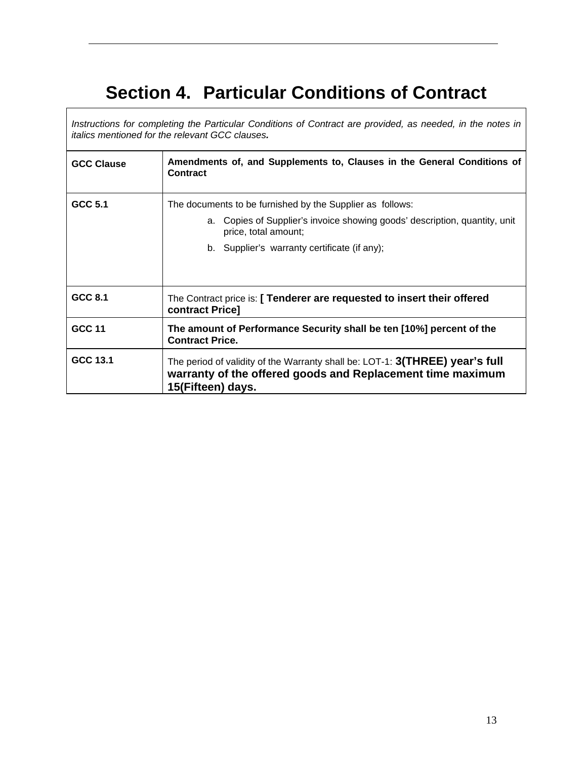# **Section 4. Particular Conditions of Contract**

*Instructions for completing the Particular Conditions of Contract are provided, as needed, in the notes in italics mentioned for the relevant GCC clauses.*

| <b>GCC Clause</b> | Amendments of, and Supplements to, Clauses in the General Conditions of<br><b>Contract</b>                                                                      |
|-------------------|-----------------------------------------------------------------------------------------------------------------------------------------------------------------|
| GCC 5.1           | The documents to be furnished by the Supplier as follows:                                                                                                       |
|                   | a. Copies of Supplier's invoice showing goods' description, quantity, unit<br>price, total amount;                                                              |
|                   | b. Supplier's warranty certificate (if any);                                                                                                                    |
|                   |                                                                                                                                                                 |
| GCC 8.1           | The Contract price is: [ Tenderer are requested to insert their offered<br>contract Price]                                                                      |
| <b>GCC 11</b>     | The amount of Performance Security shall be ten [10%] percent of the<br><b>Contract Price.</b>                                                                  |
| GCC 13.1          | The period of validity of the Warranty shall be: LOT-1: 3(THREE) year's full<br>warranty of the offered goods and Replacement time maximum<br>15(Fifteen) days. |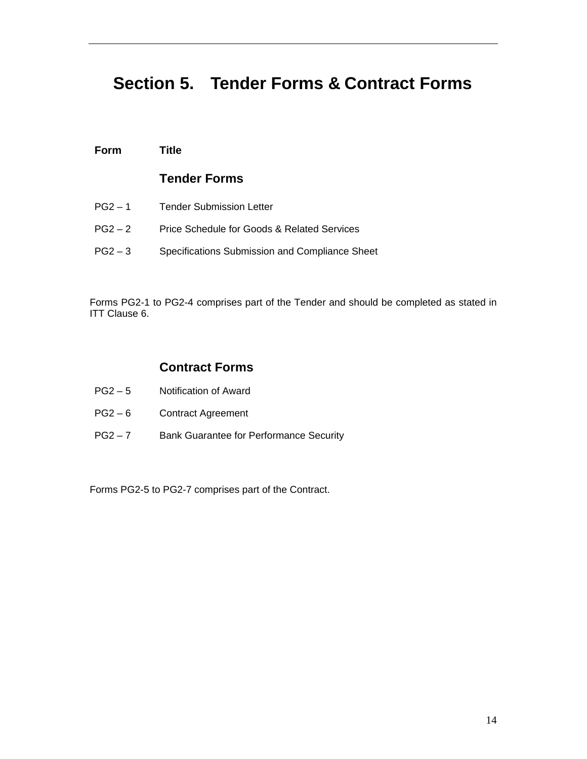# **Section 5. Tender Forms & Contract Forms**

#### **Form Title**

#### **Tender Forms**

PG2 – 1 Tender Submission Letter PG2 – 2 Price Schedule for Goods & Related Services PG2 – 3 Specifications Submission and Compliance Sheet

Forms PG2-1 to PG2-4 comprises part of the Tender and should be completed as stated in ITT Clause 6.

#### **Contract Forms**

- PG2 5 Notification of Award
- PG2-6 Contract Agreement
- PG2 7 Bank Guarantee for Performance Security

Forms PG2-5 to PG2-7 comprises part of the Contract.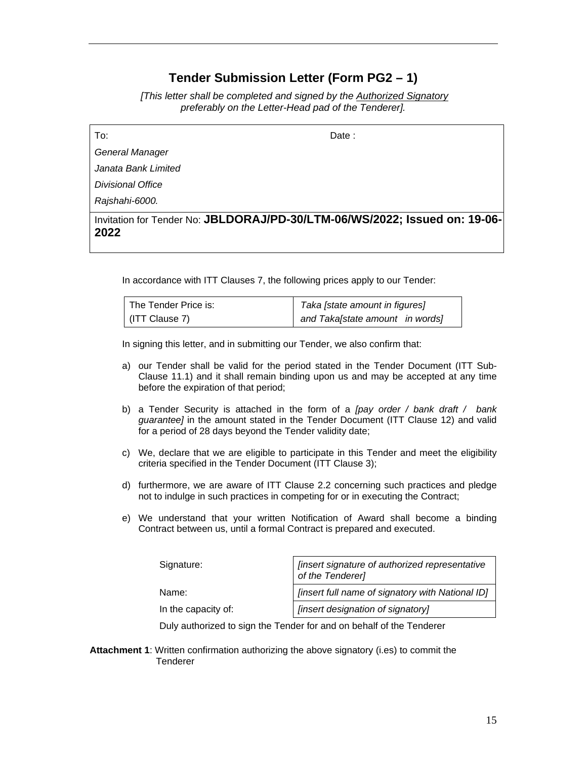### **Tender Submission Letter (Form PG2 – 1)**

 *[This letter shall be completed and signed by the Authorized Signatory preferably on the Letter-Head pad of the Tenderer].* 

To: Date :

*General Manager* 

*Janata Bank Limited* 

*Divisional Office* 

*Rajshahi-6000.* 

Invitation for Tender No: **JBLDORAJ/PD-30/LTM-06/WS/2022; Issued on: 19-06- 2022** 

In accordance with ITT Clauses 7, the following prices apply to our Tender:

| l The Tender Price is: | Taka [state amount in figures]  |  |
|------------------------|---------------------------------|--|
| (ITT Clause 7)         | and Taka[state amount in words] |  |

In signing this letter, and in submitting our Tender, we also confirm that:

- a) our Tender shall be valid for the period stated in the Tender Document (ITT Sub-Clause 11.1) and it shall remain binding upon us and may be accepted at any time before the expiration of that period;
- b) a Tender Security is attached in the form of a *[pay order / bank draft / bank guarantee]* in the amount stated in the Tender Document (ITT Clause 12) and valid for a period of 28 days beyond the Tender validity date;
- c) We, declare that we are eligible to participate in this Tender and meet the eligibility criteria specified in the Tender Document (ITT Clause 3);
- d) furthermore, we are aware of ITT Clause 2.2 concerning such practices and pledge not to indulge in such practices in competing for or in executing the Contract;
- e) We understand that your written Notification of Award shall become a binding Contract between us, until a formal Contract is prepared and executed.

| Signature:          | <i><b>[insert signature of authorized representative</b></i><br>of the Tenderer] |
|---------------------|----------------------------------------------------------------------------------|
| Name:               | [insert full name of signatory with National ID]                                 |
| In the capacity of: | [insert designation of signatory]                                                |
|                     |                                                                                  |

Duly authorized to sign the Tender for and on behalf of the Tenderer

**Attachment 1**: Written confirmation authorizing the above signatory (i.es) to commit the **Tenderer**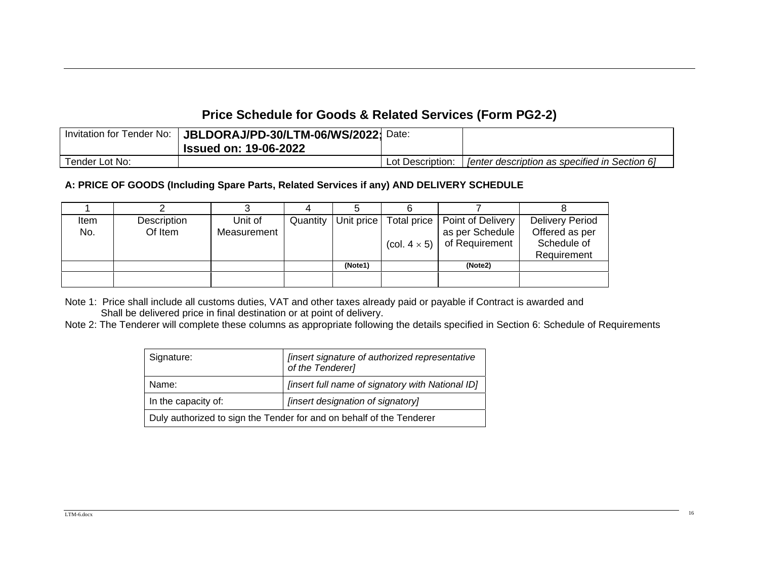## **Price Schedule for Goods & Related Services (Form PG2-2)**

| Invitation for Tender No: | JBLDORAJ/PD-30/LTM-06/WS/2022;<br>' Issued on: 19-06-2022 | Date:            |                                                      |
|---------------------------|-----------------------------------------------------------|------------------|------------------------------------------------------|
| Tender Lot No:            |                                                           | Lot Description: | <b>Tenter description as specified in Section 61</b> |

#### **A: PRICE OF GOODS (Including Spare Parts, Related Services if any) AND DELIVERY SCHEDULE**

| Item<br>No. | Description<br>Of Item | Unit of<br>Measurement | Quantity | Unit price | Total price<br>(col. $4 \times 5$ ) | Point of Delivery<br>as per Schedule<br>of Requirement | <b>Delivery Period</b><br>Offered as per<br>Schedule of<br>Requirement |
|-------------|------------------------|------------------------|----------|------------|-------------------------------------|--------------------------------------------------------|------------------------------------------------------------------------|
|             |                        |                        |          | (Note1)    |                                     | (Note2)                                                |                                                                        |
|             |                        |                        |          |            |                                     |                                                        |                                                                        |

Note 1: Price shall include all customs duties, VAT and other taxes already paid or payable if Contract is awarded and Shall be delivered price in final destination or at point of delivery.

Note 2: The Tenderer will complete these columns as appropriate following the details specified in Section 6: Schedule of Requirements

| Signature:                                                           | [insert signature of authorized representative<br>of the Tenderer] |  |
|----------------------------------------------------------------------|--------------------------------------------------------------------|--|
| Name:                                                                | [insert full name of signatory with National ID]                   |  |
| [insert designation of signatory]<br>In the capacity of:             |                                                                    |  |
| Duly authorized to sign the Tender for and on behalf of the Tenderer |                                                                    |  |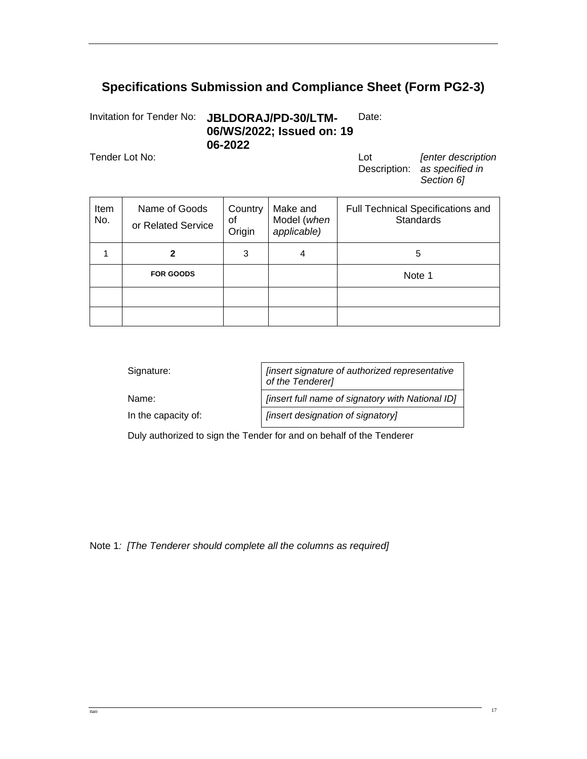## **Specifications Submission and Compliance Sheet (Form PG2-3)**

Invitation for Tender No: **JBLDORAJ/PD-30/LTM-06/WS/2022; Issued on: 19 06-2022**  Date:

Tender Lot No: Lot

Description: *as specified in [enter description Section 6]* 

| Item<br>No. | Name of Goods<br>or Related Service | Country<br>οf<br>Origin | Make and<br>Model (when<br>applicable) | <b>Full Technical Specifications and</b><br><b>Standards</b> |
|-------------|-------------------------------------|-------------------------|----------------------------------------|--------------------------------------------------------------|
|             |                                     | 3                       | 4                                      | 5                                                            |
|             | <b>FOR GOODS</b>                    |                         |                                        | Note 1                                                       |
|             |                                     |                         |                                        |                                                              |
|             |                                     |                         |                                        |                                                              |

| Signature:                                                           | [insert signature of authorized representative<br>of the Tenderer] |  |
|----------------------------------------------------------------------|--------------------------------------------------------------------|--|
| Name:                                                                | [insert full name of signatory with National ID]                   |  |
| In the capacity of:                                                  | [insert designation of signatory]                                  |  |
| Duly authorized to sign the Tender for and on behalf of the Tenderer |                                                                    |  |

Note 1*: [The Tenderer should complete all the columns as required]*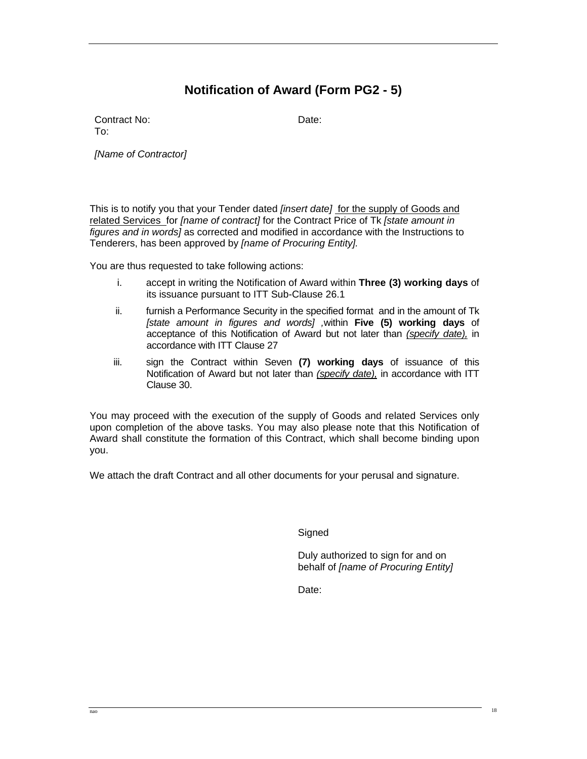## **Notification of Award (Form PG2 - 5)**

Contract No: Date: To:

*[Name of Contractor]* 

This is to notify you that your Tender dated *[insert date]* for the supply of Goods and related Services for *[name of contract]* for the Contract Price of Tk *[state amount in figures and in words]* as corrected and modified in accordance with the Instructions to Tenderers, has been approved by *[name of Procuring Entity].* 

You are thus requested to take following actions:

- i. accept in writing the Notification of Award within **Three (3) working days** of its issuance pursuant to ITT Sub-Clause 26.1
- ii. furnish a Performance Security in the specified format and in the amount of Tk *[state amount in figures and words] ,*within **Five (5) working days** of acceptance of this Notification of Award but not later than *(specify date),* in accordance with ITT Clause 27
- iii. sign the Contract within Seven **(7) working days** of issuance of this Notification of Award but not later than *(specify date),* in accordance with ITT Clause 30.

You may proceed with the execution of the supply of Goods and related Services only upon completion of the above tasks. You may also please note that this Notification of Award shall constitute the formation of this Contract, which shall become binding upon you.

We attach the draft Contract and all other documents for your perusal and signature.

**Signed** 

Duly authorized to sign for and on behalf of *[name of Procuring Entity]*

Date: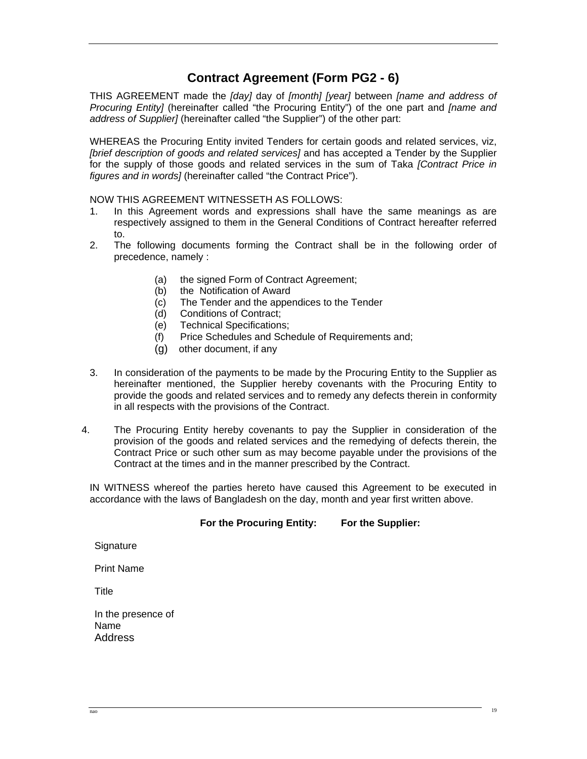## **Contract Agreement (Form PG2 - 6)**

THIS AGREEMENT made the *[day]* day of *[month] [year]* between *[name and address of Procuring Entity]* (hereinafter called "the Procuring Entity") of the one part and *[name and address of Supplier]* (hereinafter called "the Supplier") of the other part:

WHEREAS the Procuring Entity invited Tenders for certain goods and related services, viz, *[brief description of goods and related services]* and has accepted a Tender by the Supplier for the supply of those goods and related services in the sum of Taka *[Contract Price in figures and in words]* (hereinafter called "the Contract Price").

NOW THIS AGREEMENT WITNESSETH AS FOLLOWS:

- 1. In this Agreement words and expressions shall have the same meanings as are respectively assigned to them in the General Conditions of Contract hereafter referred to.
- 2. The following documents forming the Contract shall be in the following order of precedence, namely :
	- (a) the signed Form of Contract Agreement;
	- (b) the Notification of Award
	- (c) The Tender and the appendices to the Tender
	- (d) Conditions of Contract;
	- (e) Technical Specifications;
	- (f) Price Schedules and Schedule of Requirements and;
	- (g) other document, if any
- 3. In consideration of the payments to be made by the Procuring Entity to the Supplier as hereinafter mentioned, the Supplier hereby covenants with the Procuring Entity to provide the goods and related services and to remedy any defects therein in conformity in all respects with the provisions of the Contract.
- 4. The Procuring Entity hereby covenants to pay the Supplier in consideration of the provision of the goods and related services and the remedying of defects therein, the Contract Price or such other sum as may become payable under the provisions of the Contract at the times and in the manner prescribed by the Contract.

IN WITNESS whereof the parties hereto have caused this Agreement to be executed in accordance with the laws of Bangladesh on the day, month and year first written above.

#### **For the Procuring Entity: For the Supplier:**

**Signature** 

Print Name

**Title** 

In the presence of Name **Address**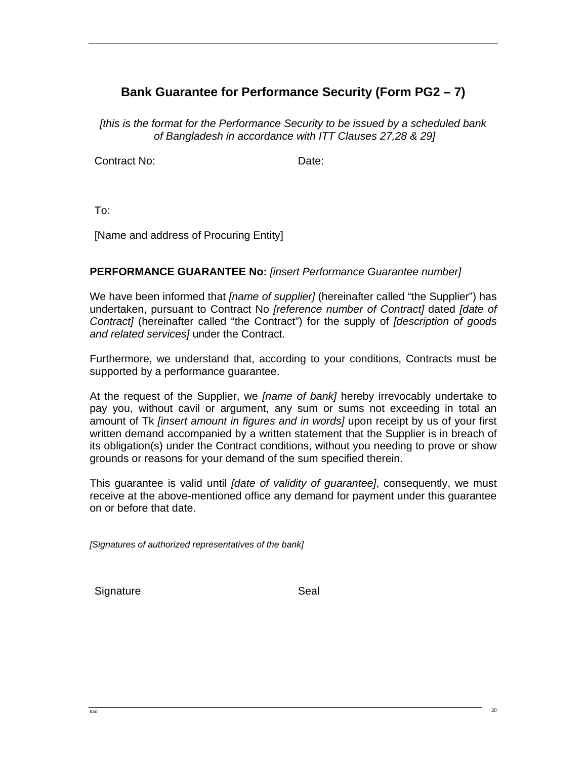## **Bank Guarantee for Performance Security (Form PG2 – 7)**

*[this is the format for the Performance Security to be issued by a scheduled bank of Bangladesh in accordance with ITT Clauses 27,28 & 29]*

Contract No: Date:

To:

[Name and address of Procuring Entity]

#### **PERFORMANCE GUARANTEE No:** *[insert Performance Guarantee number]*

We have been informed that *[name of supplier]* (hereinafter called "the Supplier") has undertaken, pursuant to Contract No *[reference number of Contract]* dated *[date of Contract]* (hereinafter called "the Contract") for the supply of *[description of goods and related services]* under the Contract.

Furthermore, we understand that, according to your conditions, Contracts must be supported by a performance guarantee.

At the request of the Supplier, we *[name of bank]* hereby irrevocably undertake to pay you, without cavil or argument, any sum or sums not exceeding in total an amount of Tk *[insert amount in figures and in words]* upon receipt by us of your first written demand accompanied by a written statement that the Supplier is in breach of its obligation(s) under the Contract conditions, without you needing to prove or show grounds or reasons for your demand of the sum specified therein.

This guarantee is valid until *[date of validity of guarantee]*, consequently, we must receive at the above-mentioned office any demand for payment under this guarantee on or before that date.

*[Signatures of authorized representatives of the bank]* 

Signature Seal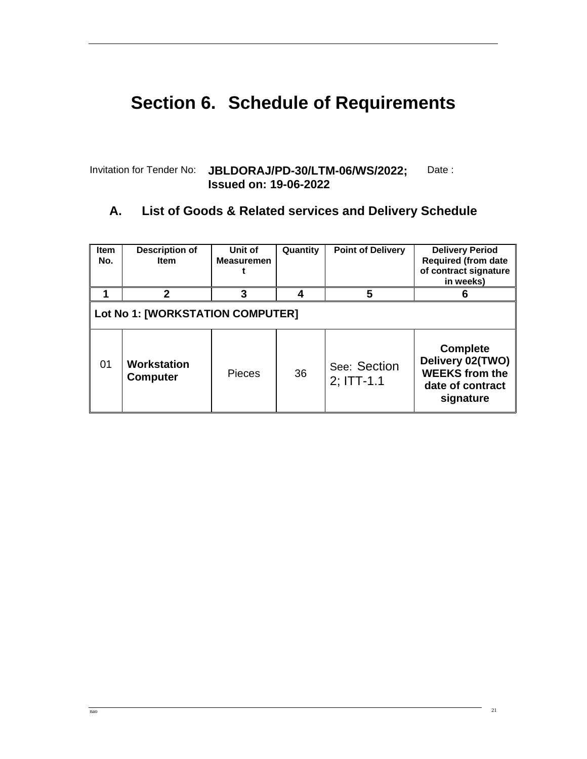# **Section 6. Schedule of Requirements**

#### Invitation for Tender No: **JBLDORAJ/PD-30/LTM-06/WS/2022; Issued on: 19-06-2022**  Date :

## **A. List of Goods & Related services and Delivery Schedule**

| <b>Item</b><br>No.               | <b>Description of</b><br><b>Item</b> | Unit of<br><b>Measuremen</b> | Quantity | <b>Point of Delivery</b>      | <b>Delivery Period</b><br><b>Required (from date</b><br>of contract signature<br>in weeks)    |
|----------------------------------|--------------------------------------|------------------------------|----------|-------------------------------|-----------------------------------------------------------------------------------------------|
|                                  | 2                                    | 3                            |          | 5                             | 6                                                                                             |
| Lot No 1: [WORKSTATION COMPUTER] |                                      |                              |          |                               |                                                                                               |
| 01                               | Workstation<br><b>Computer</b>       | <b>Pieces</b>                | 36       | See: Section<br>$2$ ; ITT-1.1 | <b>Complete</b><br>Delivery 02(TWO)<br><b>WEEKS from the</b><br>date of contract<br>signature |